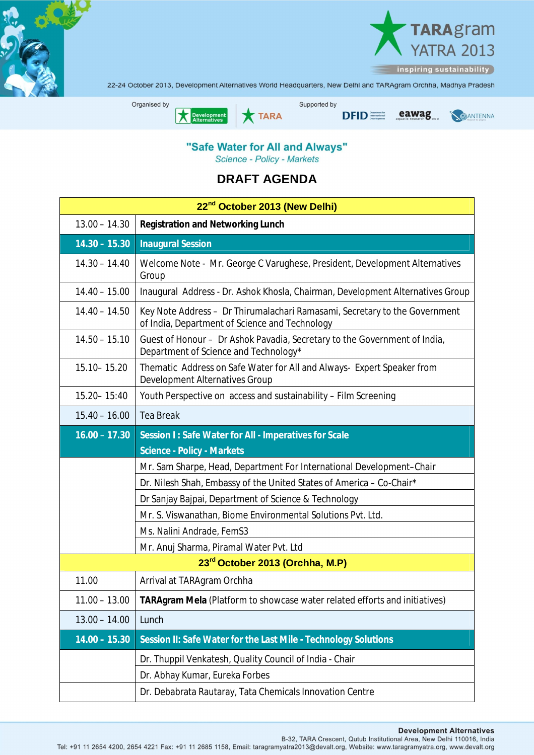



22-24 October 2013, Development Alternatives World Headquarters, New Delhi and TARAgram Orchha, Madhya Pradesh



## "Safe Water for All and Always" Science - Policy - Markets

**DRAFT AGENDA** 

| 22 <sup>nd</sup> October 2013 (New Delhi) |                                                                                                                              |  |
|-------------------------------------------|------------------------------------------------------------------------------------------------------------------------------|--|
| $13.00 - 14.30$                           | <b>Registration and Networking Lunch</b>                                                                                     |  |
| $14.30 - 15.30$                           | <b>Inaugural Session</b>                                                                                                     |  |
| $14.30 - 14.40$                           | Welcome Note - Mr. George C Varughese, President, Development Alternatives<br>Group                                          |  |
| $14.40 - 15.00$                           | Inaugural Address - Dr. Ashok Khosla, Chairman, Development Alternatives Group                                               |  |
| $14.40 - 14.50$                           | Key Note Address - Dr Thirumalachari Ramasami, Secretary to the Government<br>of India, Department of Science and Technology |  |
| $14.50 - 15.10$                           | Guest of Honour - Dr Ashok Pavadia, Secretary to the Government of India,<br>Department of Science and Technology*           |  |
| 15.10 - 15.20                             | Thematic Address on Safe Water for All and Always- Expert Speaker from<br>Development Alternatives Group                     |  |
| 15.20 - 15:40                             | Youth Perspective on access and sustainability - Film Screening                                                              |  |
| $15.40 - 16.00$                           | <b>Tea Break</b>                                                                                                             |  |
| $16.00 - 17.30$                           | Session I: Safe Water for All - Imperatives for Scale                                                                        |  |
|                                           | <b>Science - Policy - Markets</b>                                                                                            |  |
|                                           | Mr. Sam Sharpe, Head, Department For International Development-Chair                                                         |  |
|                                           | Dr. Nilesh Shah, Embassy of the United States of America - Co-Chair*                                                         |  |
|                                           | Dr Sanjay Bajpai, Department of Science & Technology                                                                         |  |
|                                           | Mr. S. Viswanathan, Biome Environmental Solutions Pvt. Ltd.                                                                  |  |
|                                           | Ms. Nalini Andrade, FemS3                                                                                                    |  |
|                                           | Mr. Anuj Sharma, Piramal Water Pvt. Ltd                                                                                      |  |
| 23rd October 2013 (Orchha, M.P)           |                                                                                                                              |  |
| 11.00                                     | Arrival at TARAgram Orchha                                                                                                   |  |
|                                           | 11.00 – 13.00 TARAgram Mela (Platform to showcase water related efforts and initiatives)                                     |  |
| $13.00 - 14.00$                           | Lunch                                                                                                                        |  |
| $14.00 - 15.30$                           | Session II: Safe Water for the Last Mile - Technology Solutions                                                              |  |
|                                           | Dr. Thuppil Venkatesh, Quality Council of India - Chair                                                                      |  |
|                                           | Dr. Abhay Kumar, Eureka Forbes                                                                                               |  |
|                                           | Dr. Debabrata Rautaray, Tata Chemicals Innovation Centre                                                                     |  |

## **Development Alternatives**